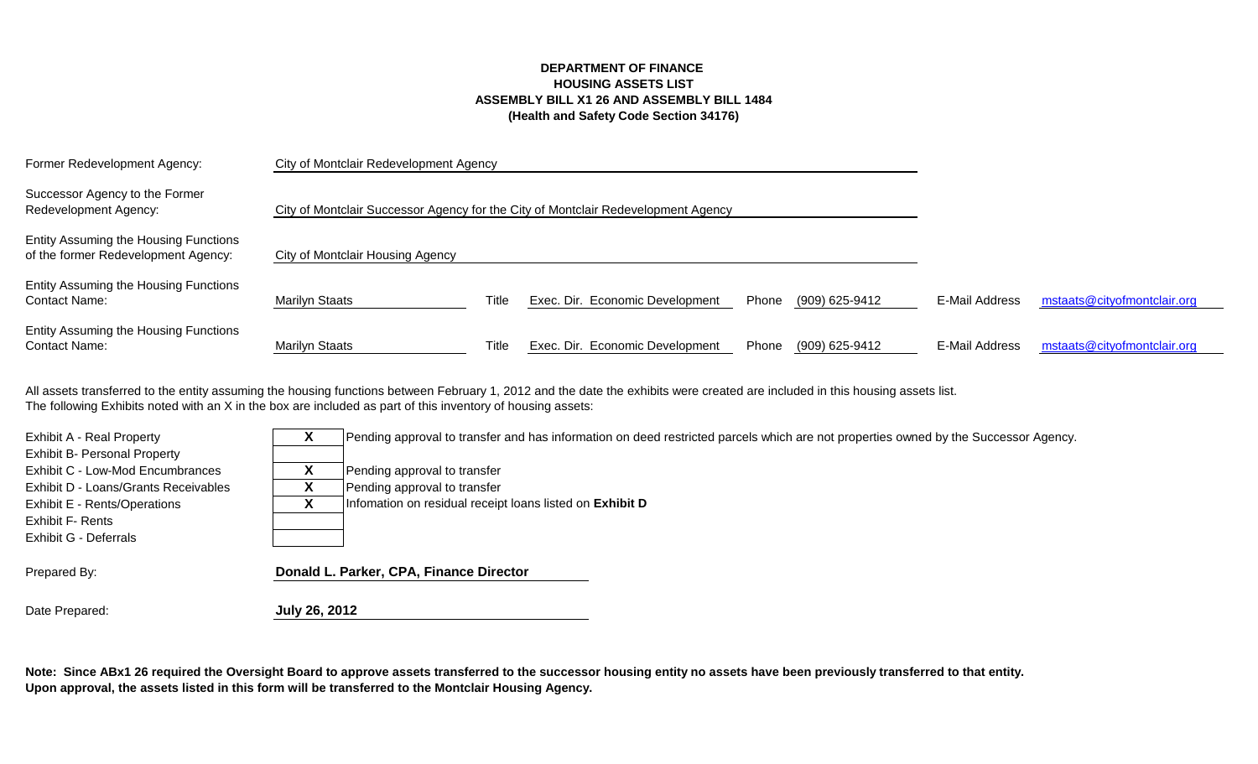## **DEPARTMENT OF FINANCE HOUSING ASSETS LIST ASSEMBLY BILL X1 26 AND ASSEMBLY BILL 1484 (Health and Safety Code Section 34176)**

| Former Redevelopment Agency:                                                 | City of Montclair Redevelopment Agency                                            |       |                                 |       |                |                |                             |
|------------------------------------------------------------------------------|-----------------------------------------------------------------------------------|-------|---------------------------------|-------|----------------|----------------|-----------------------------|
| Successor Agency to the Former<br>Redevelopment Agency:                      | City of Montclair Successor Agency for the City of Montclair Redevelopment Agency |       |                                 |       |                |                |                             |
| Entity Assuming the Housing Functions<br>of the former Redevelopment Agency: | City of Montclair Housing Agency                                                  |       |                                 |       |                |                |                             |
| Entity Assuming the Housing Functions<br><b>Contact Name:</b>                | <b>Marilyn Staats</b>                                                             | Title | Exec. Dir. Economic Development | Phone | (909) 625-9412 | E-Mail Address | mstaats@cityofmontclair.org |
| Entity Assuming the Housing Functions<br><b>Contact Name:</b>                | <b>Marilyn Staats</b>                                                             | Title | Exec. Dir. Economic Development | Phone | (909) 625-9412 | E-Mail Address | mstaats@cityofmontclair.org |

The following Exhibits noted with an X in the box are included as part of this inventory of housing assets: All assets transferred to the entity assuming the housing functions between February 1, 2012 and the date the exhibits were created are included in this housing assets list.

| <b>Exhibit A - Real Property</b>     | Pending approval to transfer and has information on deed restricted parcels which are not properties owned by the Successor Agency. |
|--------------------------------------|-------------------------------------------------------------------------------------------------------------------------------------|
| <b>Exhibit B- Personal Property</b>  |                                                                                                                                     |
| Exhibit C - Low-Mod Encumbrances     | Pending approval to transfer                                                                                                        |
| Exhibit D - Loans/Grants Receivables | Pending approval to transfer                                                                                                        |
| <b>Exhibit E - Rents/Operations</b>  | Infomation on residual receipt loans listed on Exhibit D                                                                            |
| <b>Exhibit F- Rents</b>              |                                                                                                                                     |
| Exhibit G - Deferrals                |                                                                                                                                     |
|                                      |                                                                                                                                     |
| Prepared By:                         | Donald L. Parker, CPA, Finance Director                                                                                             |
|                                      |                                                                                                                                     |

Date Prepared: **July 26, 2012** 

**Note: Since ABx1 26 required the Oversight Board to approve assets transferred to the successor housing entity no assets have been previously transferred to that entity. Upon approval, the assets listed in this form will be transferred to the Montclair Housing Agency.**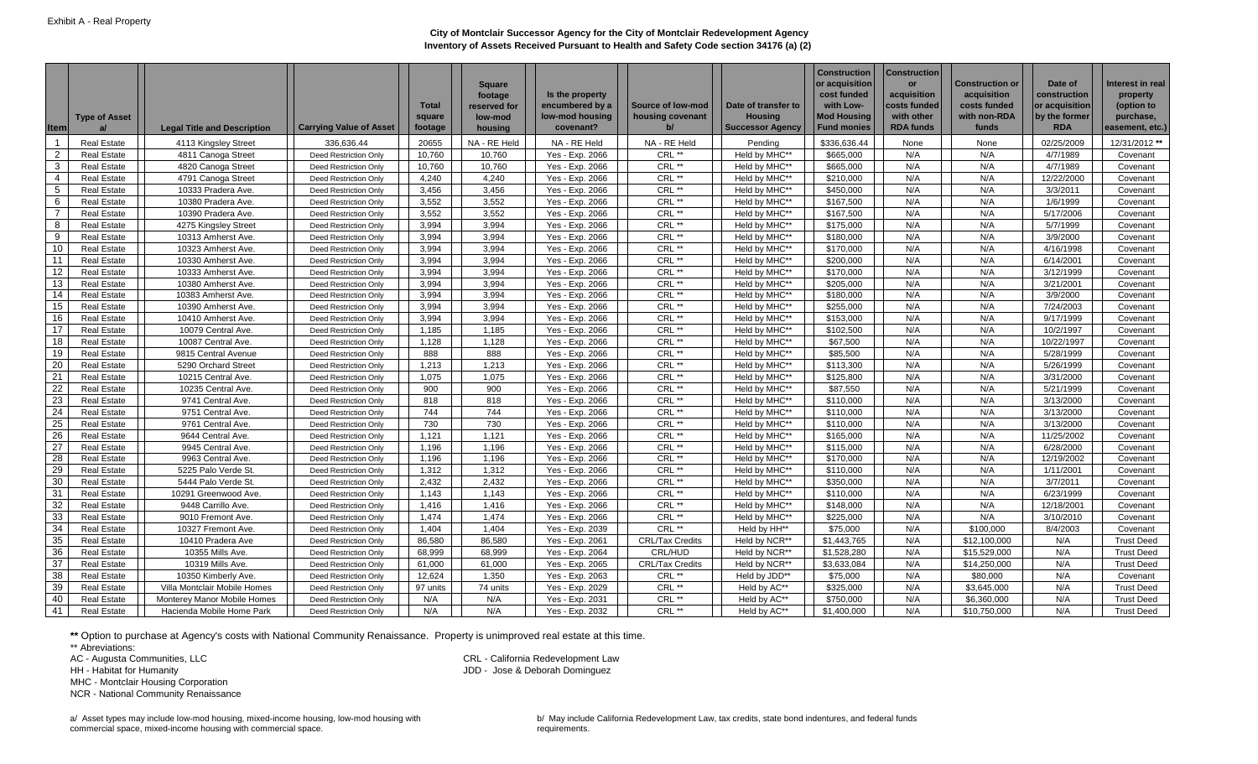| <b>Item</b>     | <b>Type of Asset</b> | <b>Legal Title and Description</b> | <b>Carrying Value of Asset</b> | <b>Total</b><br>square<br>footage | <b>Square</b><br>footage<br>reserved for<br>low-mod<br>housing | Is the property<br>encumbered by a<br>low-mod housing<br>covenant? | Source of low-mod<br>housing covenant | Date of transfer to<br>Housina<br><b>Successor Agency</b> | <b>Construction</b><br>or acquisition<br>cost funded<br>with Low-<br><b>Mod Housing</b><br><b>Fund monies</b> | <b>Construction</b><br><b>or</b><br>acquisition<br>costs funded<br>with other<br><b>RDA funds</b> | <b>Construction or</b><br>acquisition<br>costs funded<br>with non-RDA<br>funds | Date of<br>construction<br>or acquisition<br>by the former<br><b>RDA</b> | Interest in real<br>property<br>(option to<br>purchase,<br>easement, etc.) |
|-----------------|----------------------|------------------------------------|--------------------------------|-----------------------------------|----------------------------------------------------------------|--------------------------------------------------------------------|---------------------------------------|-----------------------------------------------------------|---------------------------------------------------------------------------------------------------------------|---------------------------------------------------------------------------------------------------|--------------------------------------------------------------------------------|--------------------------------------------------------------------------|----------------------------------------------------------------------------|
|                 | <b>Real Estate</b>   | 4113 Kingsley Street               | 336,636.44                     | 20655                             | NA - RE Held                                                   | NA - RE Held                                                       | NA - RE Held                          | Pending                                                   | \$336,636.44                                                                                                  | None                                                                                              | None                                                                           | 02/25/2009                                                               | 12/31/2012 **                                                              |
| 2               | <b>Real Estate</b>   | 4811 Canoga Street                 | <b>Deed Restriction Only</b>   | 10,760                            | 10,760                                                         | Yes - Exp. 2066                                                    | CRL **                                | Held by MHC**                                             | \$665,000                                                                                                     | N/A                                                                                               | N/A                                                                            | 4/7/1989                                                                 | Covenant                                                                   |
| 3               | <b>Real Estate</b>   | 4820 Canoga Street                 | <b>Deed Restriction Only</b>   | 10,760                            | 10,760                                                         | Yes - Exp. 2066                                                    | CRL **                                | Held by MHC**                                             | \$665,000                                                                                                     | N/A                                                                                               | N/A                                                                            | 4/7/1989                                                                 | Covenant                                                                   |
| 4               | <b>Real Estate</b>   | 4791 Canoga Street                 | Deed Restriction Only          | 4,240                             | 4,240                                                          | Yes - Exp. 2066                                                    | CRL **                                | Held by MHC**                                             | \$210,000                                                                                                     | N/A                                                                                               | N/A                                                                            | 12/22/2000                                                               | Covenant                                                                   |
| 5               | <b>Real Estate</b>   | 10333 Pradera Ave.                 | <b>Deed Restriction Only</b>   | 3,456                             | 3,456                                                          | Yes - Exp. 2066                                                    | CRL **                                | Held by MHC**                                             | \$450,000                                                                                                     | N/A                                                                                               | N/A                                                                            | 3/3/2011                                                                 | Covenant                                                                   |
| 6               | <b>Real Estate</b>   | 10380 Pradera Ave.                 | <b>Deed Restriction Only</b>   | 3,552                             | 3,552                                                          | Yes - Exp. 2066                                                    | CRL **                                | Held by MHC**                                             | \$167,500                                                                                                     | N/A                                                                                               | N/A                                                                            | 1/6/1999                                                                 | Covenant                                                                   |
| $\overline{7}$  | <b>Real Estate</b>   | 10390 Pradera Ave.                 | Deed Restriction Only          | 3,552                             | 3,552                                                          | Yes - Exp. 2066                                                    | $CRL$ **                              | Held by MHC**                                             | \$167,500                                                                                                     | N/A                                                                                               | N/A                                                                            | 5/17/2006                                                                | Covenant                                                                   |
| 8               | <b>Real Estate</b>   | 4275 Kingsley Street               | Deed Restriction Only          | 3.994                             | 3.994                                                          | Yes - Exp. 2066                                                    | CRL **                                | Held by MHC**                                             | \$175,000                                                                                                     | N/A                                                                                               | N/A                                                                            | 5/7/1999                                                                 | Covenant                                                                   |
| 9               | <b>Real Estate</b>   | 10313 Amherst Ave.                 | <b>Deed Restriction Only</b>   | 3,994                             | 3,994                                                          | Yes - Exp. 2066                                                    | CRL **                                | Held by MHC**                                             | \$180,000                                                                                                     | N/A                                                                                               | N/A                                                                            | 3/9/2000                                                                 | Covenant                                                                   |
| 10              | <b>Real Estate</b>   | 10323 Amherst Ave.                 | Deed Restriction Only          | 3,994                             | 3,994                                                          | Yes - Exp. 2066                                                    | CRL **                                | Held by MHC**                                             | \$170,000                                                                                                     | N/A                                                                                               | N/A                                                                            | 4/16/1998                                                                | Covenant                                                                   |
| 11              | <b>Real Estate</b>   | 10330 Amherst Ave.                 | Deed Restriction Only          | 3,994                             | 3,994                                                          | Yes - Exp. 2066                                                    | CRL **                                | Held by MHC**                                             | \$200,000                                                                                                     | N/A                                                                                               | N/A                                                                            | 6/14/2001                                                                | Covenant                                                                   |
| 12              | <b>Real Estate</b>   | 10333 Amherst Ave.                 | <b>Deed Restriction Only</b>   | 3,994                             | 3,994                                                          | Yes - Exp. 2066                                                    | CRL **                                | Held by MHC**                                             | \$170,000                                                                                                     | N/A                                                                                               | N/A                                                                            | 3/12/1999                                                                | Covenant                                                                   |
| 13              | <b>Real Estate</b>   | 10380 Amherst Ave.                 | Deed Restriction Only          | 3.994                             | 3.994                                                          | Yes - Exp. 2066                                                    | CRL **                                | Held by MHC**                                             | \$205,000                                                                                                     | N/A                                                                                               | N/A                                                                            | 3/21/2001                                                                | Covenant                                                                   |
| 14              | <b>Real Estate</b>   | 10383 Amherst Ave.                 | <b>Deed Restriction Only</b>   | 3,994                             | 3.994                                                          | Yes - Exp. 2066                                                    | CRL **                                | Held by MHC**                                             | \$180,000                                                                                                     | N/A                                                                                               | N/A                                                                            | 3/9/2000                                                                 | Covenant                                                                   |
| 15              | <b>Real Estate</b>   | 10390 Amherst Ave.                 | Deed Restriction Only          | 3.994                             | 3,994                                                          | Yes - Exp. 2066                                                    | CRL **                                | Held by MHC**                                             | \$255,000                                                                                                     | N/A                                                                                               | N/A                                                                            | 7/24/2003                                                                | Covenant                                                                   |
| 16              | <b>Real Estate</b>   | 10410 Amherst Ave.                 | <b>Deed Restriction Only</b>   | 3,994                             | 3,994                                                          | Yes - Exp. 2066                                                    | CRL **                                | Held by MHC**                                             | \$153,000                                                                                                     | N/A                                                                                               | N/A                                                                            | 9/17/1999                                                                | Covenant                                                                   |
| 17              | <b>Real Estate</b>   | 10079 Central Ave.                 | <b>Deed Restriction Only</b>   | 1,185                             | 1,185                                                          | Yes - Exp. 2066                                                    | CRL **                                | Held by MHC**                                             | \$102,500                                                                                                     | N/A                                                                                               | N/A                                                                            | 10/2/1997                                                                | Covenant                                                                   |
| 18              | <b>Real Estate</b>   | 10087 Central Ave.                 | <b>Deed Restriction Only</b>   | 1.128                             | 1.128                                                          | Yes - Exp. 2066                                                    | CRL **                                | Held by MHC**                                             | \$67,500                                                                                                      | N/A                                                                                               | N/A                                                                            | 10/22/1997                                                               | Covenant                                                                   |
| 19              | <b>Real Estate</b>   | 9815 Central Avenue                | Deed Restriction Only          | 888                               | 888                                                            | Yes - Exp. 2066                                                    | CRL **                                | Held by MHC**                                             | \$85,500                                                                                                      | N/A                                                                                               | N/A                                                                            | 5/28/1999                                                                | Covenant                                                                   |
| 20              | <b>Real Estate</b>   | 5290 Orchard Street                | Deed Restriction Only          | 1,213                             | 1,213                                                          | Yes - Exp. 2066                                                    | CRL **                                | Held by MHC**                                             | \$113,300                                                                                                     | N/A                                                                                               | N/A                                                                            | 5/26/1999                                                                | Covenant                                                                   |
| 21              | <b>Real Estate</b>   | 10215 Central Ave.                 | <b>Deed Restriction Only</b>   | 1,075                             | 1,075                                                          | Yes - Exp. 2066                                                    | CRL **                                | Held by MHC**                                             | \$125,800                                                                                                     | N/A                                                                                               | N/A                                                                            | 3/31/2000                                                                | Covenant                                                                   |
| 22              | <b>Real Estate</b>   | 10235 Central Ave                  | <b>Deed Restriction Only</b>   | 900                               | 900                                                            | Yes - Exp. 2066                                                    | CRL **                                | Held by MHC**                                             | \$87,550                                                                                                      | N/A                                                                                               | N/A                                                                            | 5/21/1999                                                                | Covenant                                                                   |
| 23              | <b>Real Estate</b>   | 9741 Central Ave.                  | Deed Restriction Only          | 818                               | 818                                                            | Yes - Exp. 2066                                                    | CRL **                                | Held by MHC**                                             | \$110,000                                                                                                     | N/A                                                                                               | N/A                                                                            | 3/13/2000                                                                | Covenant                                                                   |
| 24              | <b>Real Estate</b>   | 9751 Central Ave.                  | Deed Restriction Only          | 744                               | 744                                                            | Yes - Exp. 2066                                                    | CRL **                                | Held by MHC**                                             | \$110,000                                                                                                     | N/A                                                                                               | N/A                                                                            | 3/13/2000                                                                | Covenant                                                                   |
| 25              | <b>Real Estate</b>   | 9761 Central Ave.                  | Deed Restriction Only          | 730                               | 730                                                            | Yes - Exp. 2066                                                    | CRL **                                | Held by MHC**                                             | \$110,000                                                                                                     | N/A                                                                                               | N/A                                                                            | 3/13/2000                                                                | Covenant                                                                   |
| 26              | <b>Real Estate</b>   | 9644 Central Ave.                  | <b>Deed Restriction Only</b>   | 1,121                             | 1,121                                                          | Yes - Exp. 2066                                                    | CRL **                                | Held by MHC**                                             | \$165,000                                                                                                     | N/A                                                                                               | N/A                                                                            | 11/25/2002                                                               | Covenant                                                                   |
| 27              | <b>Real Estate</b>   | 9945 Central Ave.                  | <b>Deed Restriction Only</b>   | 1,196                             | 1,196                                                          | Yes - Exp. 2066                                                    | CRL **                                | Held by MHC**                                             | \$115,000                                                                                                     | N/A                                                                                               | N/A                                                                            | 6/28/2000                                                                | Covenant                                                                   |
| $\overline{28}$ | <b>Real Estate</b>   | 9963 Central Ave.                  | Deed Restriction Only          | 1.196                             | 1,196                                                          | Yes - Exp. 2066                                                    | CRL **                                | Held by MHC**                                             | \$170,000                                                                                                     | N/A                                                                                               | N/A                                                                            | 12/19/2002                                                               | Covenant                                                                   |
| 29              | <b>Real Estate</b>   | 5225 Palo Verde St.                | <b>Deed Restriction Only</b>   | 1,312                             | 1,312                                                          | Yes - Exp. 2066                                                    | CRL **                                | Held by MHC**                                             | \$110,000                                                                                                     | N/A                                                                                               | N/A                                                                            | 1/11/2001                                                                | Covenant                                                                   |
| 30              | <b>Real Estate</b>   | 5444 Palo Verde St.                | <b>Deed Restriction Only</b>   | 2,432                             | 2,432                                                          | Yes - Exp. 2066                                                    | CRL **                                | Held by MHC**                                             | \$350,000                                                                                                     | N/A                                                                                               | N/A                                                                            | 3/7/2011                                                                 | Covenant                                                                   |
| 31              | <b>Real Estate</b>   | 10291 Greenwood Ave.               | Deed Restriction Only          | 1,143                             | 1,143                                                          | Yes - Exp. 2066                                                    | CRL **                                | Held by MHC**                                             | \$110,000                                                                                                     | N/A                                                                                               | N/A                                                                            | 6/23/1999                                                                | Covenant                                                                   |
| 32<br>33        | <b>Real Estate</b>   | 9448 Carrillo Ave.                 | Deed Restriction Only          | 1,416                             | 1,416                                                          | Yes - Exp. 2066                                                    | CRL **<br>CRL **                      | Held by MHC**                                             | \$148,000                                                                                                     | N/A                                                                                               | N/A                                                                            | 12/18/2001                                                               | Covenant                                                                   |
|                 | <b>Real Estate</b>   | 9010 Fremont Ave.                  | Deed Restriction Only          | 1,474                             | 1,474                                                          | Yes - Exp. 2066                                                    |                                       | Held by MHC**                                             | \$225.000                                                                                                     | N/A                                                                                               | N/A                                                                            | 3/10/2010                                                                | Covenant                                                                   |
| 34              | <b>Real Estate</b>   | 10327 Fremont Ave.                 | <b>Deed Restriction Only</b>   | 1,404                             | 1,404                                                          | Yes - Exp. 2039                                                    | CRL **                                | Held by HH**                                              | \$75,000                                                                                                      | N/A                                                                                               | \$100,000                                                                      | 8/4/2003                                                                 | Covenant                                                                   |
| 35              | <b>Real Estate</b>   | 10410 Pradera Ave                  | <b>Deed Restriction Only</b>   | 86,580                            | 86,580                                                         | Yes - Exp. 2061                                                    | <b>CRL/Tax Credits</b>                | Held by NCR**                                             | \$1,443,765                                                                                                   | N/A                                                                                               | \$12,100,000                                                                   | N/A                                                                      | <b>Trust Deed</b>                                                          |
| 36              | <b>Real Estate</b>   | 10355 Mills Ave.                   | <b>Deed Restriction Only</b>   | 68,999                            | 68,999                                                         | Yes - Exp. 2064                                                    | CRL/HUD                               | Held by NCR**                                             | \$1,528,280                                                                                                   | N/A                                                                                               | \$15,529,000                                                                   | N/A                                                                      | <b>Trust Deed</b>                                                          |
| 37<br>38        | <b>Real Estate</b>   | 10319 Mills Ave.                   | Deed Restriction Only          | 61.000                            | 61.000                                                         | Yes - Exp. 2065                                                    | <b>CRL/Tax Credits</b>                | Held by NCR**                                             | \$3,633,084                                                                                                   | N/A                                                                                               | \$14,250,000                                                                   | N/A                                                                      | <b>Trust Deed</b>                                                          |
|                 | <b>Real Estate</b>   | 10350 Kimberly Ave.                | Deed Restriction Only          | 12,624                            | 1,350                                                          | Yes - Exp. 2063                                                    | CRL **                                | Held by JDD**                                             | \$75,000                                                                                                      | N/A                                                                                               | \$80,000                                                                       | N/A                                                                      | Covenant                                                                   |
| 39              | <b>Real Estate</b>   | Villa Montclair Mobile Homes       | Deed Restriction Only          | 97 units                          | 74 units                                                       | Yes - Exp. 2029                                                    | CRL **                                | Held by AC**                                              | \$325,000                                                                                                     | N/A                                                                                               | \$3,645,000                                                                    | N/A                                                                      | <b>Trust Deed</b>                                                          |
| 40<br>41        | <b>Real Estate</b>   | Monterey Manor Mobile Homes        | <b>Deed Restriction Only</b>   | N/A<br>N/A                        | N/A<br>N/A                                                     | Yes - Exp. 2031                                                    | CRL **<br>CRL **                      | Held by AC**                                              | \$750,000                                                                                                     | N/A<br>N/A                                                                                        | \$6,360,000                                                                    | N/A<br>N/A                                                               | <b>Trust Deed</b>                                                          |
|                 | <b>Real Estate</b>   | Hacienda Mobile Home Park          | <b>Deed Restriction Only</b>   |                                   |                                                                | Yes - Exp. 2032                                                    |                                       | Held by AC**                                              | \$1,400,000                                                                                                   |                                                                                                   | \$10,750,000                                                                   |                                                                          | <b>Trust Deed</b>                                                          |

JDD - Jose & Deborah Dominguez

CRL - California Redevelopment Law

**\*\*** Option to purchase at Agency's costs with National Community Renaissance. Property is unimproved real estate at this time.

\*\* Abreviations:

AC - Augusta Communities, LLC

HH - Habitat for Humanity

MHC - Montclair Housing Corporation

NCR - National Community Renaissance

a/ Asset types may include low-mod housing, mixed-income housing, low-mod housing with commercial space, mixed-income housing with commercial space.

b/ May include California Redevelopment Law, tax credits, state bond indentures, and federal funds requirements.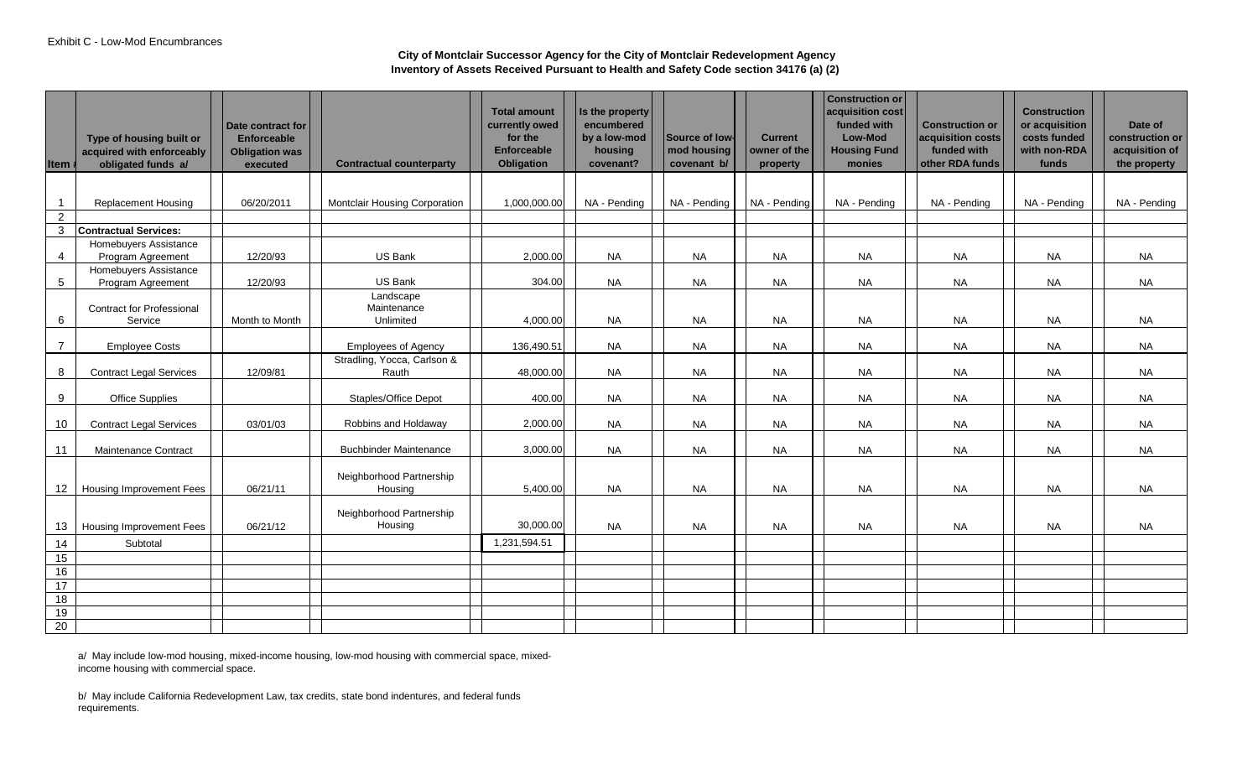| Item #          | Type of housing built or<br>acquired with enforceably<br>obligated funds a/ | Date contract for<br><b>Enforceable</b><br><b>Obligation was</b><br>executed | <b>Contractual counterparty</b>       | <b>Total amount</b><br>currently owed<br>for the<br><b>Enforceable</b><br>Obligation | Is the property<br>encumbered<br>by a low-mod<br>housing<br>covenant? | Source of low<br>mod housing<br>covenant b/ | <b>Current</b><br>owner of the<br>property | Construction or<br>acquisition cost<br>funded with<br>Low-Mod<br><b>Housing Fund</b><br>monies | <b>Construction or</b><br>acquisition costs<br>funded with<br>other RDA funds | <b>Construction</b><br>or acquisition<br>costs funded<br>with non-RDA<br>funds | Date of<br>construction or<br>acquisition of<br>the property |
|-----------------|-----------------------------------------------------------------------------|------------------------------------------------------------------------------|---------------------------------------|--------------------------------------------------------------------------------------|-----------------------------------------------------------------------|---------------------------------------------|--------------------------------------------|------------------------------------------------------------------------------------------------|-------------------------------------------------------------------------------|--------------------------------------------------------------------------------|--------------------------------------------------------------|
|                 |                                                                             |                                                                              |                                       |                                                                                      |                                                                       |                                             |                                            |                                                                                                |                                                                               |                                                                                |                                                              |
| $\overline{1}$  | <b>Replacement Housing</b>                                                  | 06/20/2011                                                                   | <b>Montclair Housing Corporation</b>  | 1,000,000.00                                                                         | NA - Pending                                                          | NA - Pendina                                | NA - Pending                               | NA - Pendina                                                                                   | NA - Pendina                                                                  | NA - Pending                                                                   | NA - Pending                                                 |
| $\overline{2}$  |                                                                             |                                                                              |                                       |                                                                                      |                                                                       |                                             |                                            |                                                                                                |                                                                               |                                                                                |                                                              |
| $\mathbf{3}$    | Contractual Services:                                                       |                                                                              |                                       |                                                                                      |                                                                       |                                             |                                            |                                                                                                |                                                                               |                                                                                |                                                              |
| 4               | <b>Homebuyers Assistance</b>                                                | 12/20/93                                                                     | <b>US Bank</b>                        | 2,000.00                                                                             | <b>NA</b>                                                             | <b>NA</b>                                   | <b>NA</b>                                  | <b>NA</b>                                                                                      | <b>NA</b>                                                                     | <b>NA</b>                                                                      | <b>NA</b>                                                    |
|                 | Program Agreement<br>Homebuyers Assistance                                  |                                                                              |                                       |                                                                                      |                                                                       |                                             |                                            |                                                                                                |                                                                               |                                                                                |                                                              |
| $5\overline{)}$ | Program Agreement                                                           | 12/20/93                                                                     | US Bank                               | 304.00                                                                               | <b>NA</b>                                                             | <b>NA</b>                                   | <b>NA</b>                                  | <b>NA</b>                                                                                      | <b>NA</b>                                                                     | <b>NA</b>                                                                      | <b>NA</b>                                                    |
| 6               | <b>Contract for Professional</b><br>Service                                 | Month to Month                                                               | Landscape<br>Maintenance<br>Unlimited | 4,000.00                                                                             | <b>NA</b>                                                             | <b>NA</b>                                   | <b>NA</b>                                  | <b>NA</b>                                                                                      | <b>NA</b>                                                                     | <b>NA</b>                                                                      | <b>NA</b>                                                    |
| $\overline{7}$  | <b>Employee Costs</b>                                                       |                                                                              | <b>Employees of Agency</b>            | 136,490.51                                                                           | <b>NA</b>                                                             | <b>NA</b>                                   | <b>NA</b>                                  | <b>NA</b>                                                                                      | <b>NA</b>                                                                     | <b>NA</b>                                                                      | <b>NA</b>                                                    |
| 8               | <b>Contract Legal Services</b>                                              | 12/09/81                                                                     | Stradling, Yocca, Carlson &<br>Rauth  | 48,000.00                                                                            | <b>NA</b>                                                             | <b>NA</b>                                   | <b>NA</b>                                  | <b>NA</b>                                                                                      | <b>NA</b>                                                                     | <b>NA</b>                                                                      | <b>NA</b>                                                    |
|                 |                                                                             |                                                                              |                                       |                                                                                      |                                                                       |                                             |                                            |                                                                                                |                                                                               |                                                                                |                                                              |
| 9               | Office Supplies                                                             |                                                                              | <b>Staples/Office Depot</b>           | 400.00                                                                               | <b>NA</b>                                                             | <b>NA</b>                                   | <b>NA</b>                                  | <b>NA</b>                                                                                      | <b>NA</b>                                                                     | <b>NA</b>                                                                      | <b>NA</b>                                                    |
| 10              | <b>Contract Legal Services</b>                                              | 03/01/03                                                                     | Robbins and Holdaway                  | 2,000.00                                                                             | <b>NA</b>                                                             | <b>NA</b>                                   | <b>NA</b>                                  | <b>NA</b>                                                                                      | <b>NA</b>                                                                     | <b>NA</b>                                                                      | <b>NA</b>                                                    |
| 11              | Maintenance Contract                                                        |                                                                              | <b>Buchbinder Maintenance</b>         | 3,000.00                                                                             | <b>NA</b>                                                             | <b>NA</b>                                   | <b>NA</b>                                  | <b>NA</b>                                                                                      | <b>NA</b>                                                                     | <b>NA</b>                                                                      | <b>NA</b>                                                    |
| 12              | <b>Housing Improvement Fees</b>                                             | 06/21/11                                                                     | Neighborhood Partnership<br>Housing   | 5,400.00                                                                             | <b>NA</b>                                                             | <b>NA</b>                                   | <b>NA</b>                                  | <b>NA</b>                                                                                      | <b>NA</b>                                                                     | <b>NA</b>                                                                      | <b>NA</b>                                                    |
| 13              | <b>Housing Improvement Fees</b>                                             | 06/21/12                                                                     | Neighborhood Partnership<br>Housing   | 30,000.00                                                                            | <b>NA</b>                                                             | <b>NA</b>                                   | <b>NA</b>                                  | <b>NA</b>                                                                                      | <b>NA</b>                                                                     | <b>NA</b>                                                                      | <b>NA</b>                                                    |
| 14              | Subtotal                                                                    |                                                                              |                                       | 1,231,594.51                                                                         |                                                                       |                                             |                                            |                                                                                                |                                                                               |                                                                                |                                                              |
| 15              |                                                                             |                                                                              |                                       |                                                                                      |                                                                       |                                             |                                            |                                                                                                |                                                                               |                                                                                |                                                              |
| 16              |                                                                             |                                                                              |                                       |                                                                                      |                                                                       |                                             |                                            |                                                                                                |                                                                               |                                                                                |                                                              |
| 17              |                                                                             |                                                                              |                                       |                                                                                      |                                                                       |                                             |                                            |                                                                                                |                                                                               |                                                                                |                                                              |
| $\overline{18}$ |                                                                             |                                                                              |                                       |                                                                                      |                                                                       |                                             |                                            |                                                                                                |                                                                               |                                                                                |                                                              |
| 19              |                                                                             |                                                                              |                                       |                                                                                      |                                                                       |                                             |                                            |                                                                                                |                                                                               |                                                                                |                                                              |
| 20              |                                                                             |                                                                              |                                       |                                                                                      |                                                                       |                                             |                                            |                                                                                                |                                                                               |                                                                                |                                                              |

a/ May include low-mod housing, mixed-income housing, low-mod housing with commercial space, mixedincome housing with commercial space.

b/ May include California Redevelopment Law, tax credits, state bond indentures, and federal funds requirements.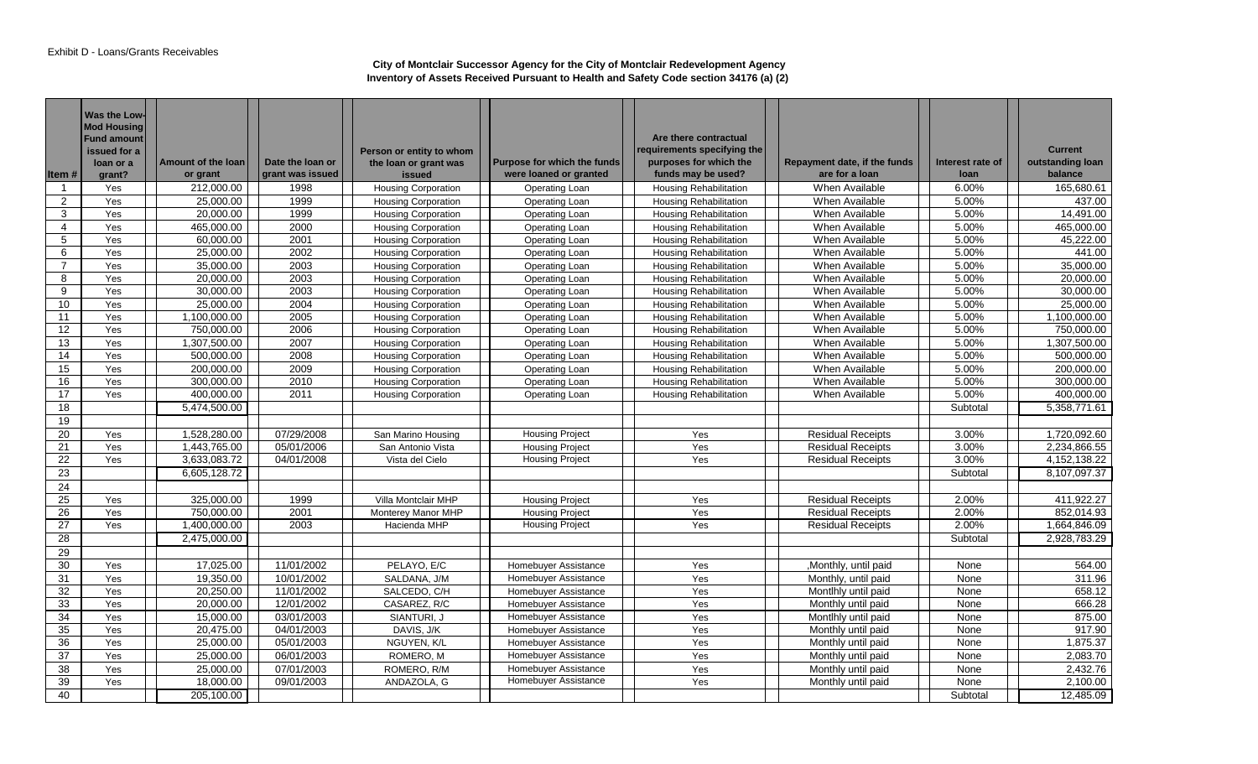| Item#          | Was the Low-<br><b>Mod Housing</b><br><b>Fund amount</b><br>issued for a<br>loan or a<br>grant? | Amount of the loan<br>or grant | Date the loan or<br>grant was issued | Person or entity to whom<br>the loan or grant was<br><b>issued</b> | Purpose for which the funds<br>were loaned or granted | Are there contractual<br>requirements specifying the<br>purposes for which the<br>funds may be used? | Repayment date, if the funds<br>are for a loan | Interest rate of<br>loan | <b>Current</b><br>outstanding loan<br>balance |
|----------------|-------------------------------------------------------------------------------------------------|--------------------------------|--------------------------------------|--------------------------------------------------------------------|-------------------------------------------------------|------------------------------------------------------------------------------------------------------|------------------------------------------------|--------------------------|-----------------------------------------------|
| -1             | Yes                                                                                             | 212,000.00                     | 1998                                 | <b>Housing Corporation</b>                                         | Operating Loan                                        | <b>Housing Rehabilitation</b>                                                                        | When Available                                 | 6.00%                    | 165,680.61                                    |
| $\overline{2}$ | Yes                                                                                             | 25,000.00                      | 1999                                 | Housing Corporation                                                | Operating Loan                                        | <b>Housing Rehabilitation</b>                                                                        | When Available                                 | 5.00%                    | 437.00                                        |
| 3              | Yes                                                                                             | 20,000.00                      | 1999                                 | <b>Housing Corporation</b>                                         | Operating Loan                                        | <b>Housing Rehabilitation</b>                                                                        | When Available                                 | 5.00%                    | 14,491.00                                     |
| 4              | Yes                                                                                             | 465,000.00                     | 2000                                 | <b>Housing Corporation</b>                                         | Operating Loan                                        | <b>Housing Rehabilitation</b>                                                                        | When Available                                 | 5.00%                    | 465,000.00                                    |
| 5              | Yes                                                                                             | 60,000.00                      | 2001                                 | <b>Housing Corporation</b>                                         | Operating Loan                                        | <b>Housing Rehabilitation</b>                                                                        | When Available                                 | 5.00%                    | 45,222.00                                     |
| 6              | Yes                                                                                             | 25,000.00                      | 2002                                 | <b>Housing Corporation</b>                                         | Operating Loan                                        | Housing Rehabilitation                                                                               | When Available                                 | 5.00%                    | 441.00                                        |
| $\overline{7}$ | Yes                                                                                             | 35,000.00                      | 2003                                 | <b>Housing Corporation</b>                                         | Operating Loan                                        | <b>Housing Rehabilitation</b>                                                                        | When Available                                 | 5.00%                    | 35,000.00                                     |
| 8              | Yes                                                                                             | 20,000.00                      | 2003                                 | <b>Housing Corporation</b>                                         | Operating Loan                                        | <b>Housing Rehabilitation</b>                                                                        | When Available                                 | 5.00%                    | 20,000.00                                     |
| 9              | Yes                                                                                             | 30,000.00                      | 2003                                 | <b>Housing Corporation</b>                                         | Operating Loan                                        | <b>Housing Rehabilitation</b>                                                                        | When Available                                 | 5.00%                    | 30.000.00                                     |
| 10             | Yes                                                                                             | 25,000.00                      | 2004                                 | <b>Housing Corporation</b>                                         | Operating Loan                                        | <b>Housing Rehabilitation</b>                                                                        | When Available                                 | 5.00%                    | 25,000.00                                     |
| 11             | Yes                                                                                             | 1,100,000.00                   | 2005                                 | <b>Housing Corporation</b>                                         | Operating Loan                                        | Housing Rehabilitation                                                                               | When Available                                 | 5.00%                    | 1,100,000.00                                  |
| 12             | Yes                                                                                             | 750,000.00                     | 2006                                 | <b>Housing Corporation</b>                                         | Operating Loan                                        | <b>Housing Rehabilitation</b>                                                                        | When Available                                 | 5.00%                    | 750.000.00                                    |
| 13             | Yes                                                                                             | 1,307,500.00                   | 2007                                 | <b>Housing Corporation</b>                                         | Operating Loan                                        | <b>Housing Rehabilitation</b>                                                                        | When Available                                 | 5.00%                    | 1,307,500.00                                  |
| 14             | Yes                                                                                             | 500,000.00                     | 2008                                 | <b>Housing Corporation</b>                                         | Operating Loan                                        | <b>Housing Rehabilitation</b>                                                                        | When Available                                 | 5.00%                    | 500,000.00                                    |
| 15             | Yes                                                                                             | 200,000.00                     | 2009                                 | <b>Housing Corporation</b>                                         | Operating Loan                                        | <b>Housing Rehabilitation</b>                                                                        | When Available                                 | 5.00%                    | 200.000.00                                    |
| 16             | Yes                                                                                             | 300,000.00                     | 2010                                 | Housing Corporation                                                | Operating Loan                                        | Housing Rehabilitation                                                                               | When Available                                 | 5.00%                    | 300,000.00                                    |
| 17             | Yes                                                                                             | 400,000.00                     | 2011                                 | <b>Housing Corporation</b>                                         | <b>Operating Loan</b>                                 | <b>Housing Rehabilitation</b>                                                                        | When Available                                 | 5.00%                    | 400,000.00                                    |
| 18             |                                                                                                 | 5,474,500.00                   |                                      |                                                                    |                                                       |                                                                                                      |                                                | Subtotal                 | 5,358,771.61                                  |
| 19             |                                                                                                 |                                |                                      |                                                                    |                                                       |                                                                                                      |                                                |                          |                                               |
| 20             | Yes                                                                                             | 1,528,280.00                   | 07/29/2008                           | San Marino Housing                                                 | <b>Housing Project</b>                                | Yes                                                                                                  | Residual Receipts                              | 3.00%                    | 1,720,092.60                                  |
| 21             | Yes                                                                                             | 1,443,765.00                   | 05/01/2006                           | San Antonio Vista                                                  | <b>Housing Project</b>                                | Yes                                                                                                  | <b>Residual Receipts</b>                       | 3.00%                    | 2,234,866.55                                  |
| 22             | Yes                                                                                             | 3,633,083.72                   | 04/01/2008                           | Vista del Cielo                                                    | <b>Housing Project</b>                                | Yes                                                                                                  | <b>Residual Receipts</b>                       | 3.00%                    | 4, 152, 138.22                                |
| 23             |                                                                                                 | 6,605,128.72                   |                                      |                                                                    |                                                       |                                                                                                      |                                                | Subtotal                 | 8,107,097.37                                  |
| 24             |                                                                                                 |                                |                                      |                                                                    |                                                       |                                                                                                      |                                                |                          |                                               |
| 25             | Yes                                                                                             | 325,000.00                     | 1999                                 | Villa Montclair MHP                                                | <b>Housing Project</b>                                | Yes                                                                                                  | <b>Residual Receipts</b>                       | 2.00%                    | 411.922.27                                    |
| 26             | Yes                                                                                             | 750,000.00                     | 2001                                 | Monterey Manor MHP                                                 | <b>Housing Project</b>                                | Yes                                                                                                  | <b>Residual Receipts</b>                       | 2.00%                    | 852,014.93                                    |
| 27             | Yes                                                                                             | 1,400,000.00                   | 2003                                 | Hacienda MHP                                                       | <b>Housing Project</b>                                | Yes                                                                                                  | <b>Residual Receipts</b>                       | 2.00%                    | 1,664,846.09                                  |
| 28             |                                                                                                 | 2,475,000.00                   |                                      |                                                                    |                                                       |                                                                                                      |                                                | Subtotal                 | 2,928,783.29                                  |
| 29             |                                                                                                 |                                |                                      |                                                                    |                                                       |                                                                                                      |                                                |                          |                                               |
| 30             | Yes                                                                                             | 17,025.00                      | 11/01/2002                           | PELAYO, E/C                                                        | Homebuyer Assistance                                  | Yes                                                                                                  | ,Monthly, until paid                           | None                     | 564.00                                        |
| 31             | Yes                                                                                             | 19,350.00                      | 10/01/2002                           | SALDANA, J/M                                                       | Homebuyer Assistance                                  | Yes                                                                                                  | Monthly, until paid                            | None                     | 311.96                                        |
| 32             | Yes                                                                                             | 20,250.00                      | 11/01/2002                           | SALCEDO, C/H                                                       | Homebuyer Assistance                                  | Yes                                                                                                  | Montlhly until paid                            | None                     | 658.12                                        |
| 33             | Yes                                                                                             | 20,000.00                      | 12/01/2002                           | CASAREZ, R/C                                                       | Homebuyer Assistance                                  | Yes                                                                                                  | Monthly until paid                             | None                     | 666.28                                        |
| 34             | Yes                                                                                             | 15,000.00                      | 03/01/2003                           | SIANTURI, J                                                        |                                                       | Yes                                                                                                  | Montlhly until paid                            | None                     | 875.00                                        |
|                | Yes                                                                                             | 20,475.00                      | 04/01/2003                           | DAVIS, J/K                                                         | Homebuyer Assistance<br>Homebuyer Assistance          |                                                                                                      |                                                | None                     | 917.90                                        |
| 35<br>36       | Yes                                                                                             | 25,000.00                      | 05/01/2003                           | NGUYEN, K/L                                                        | Homebuyer Assistance                                  | Yes<br>Yes                                                                                           | Monthly until paid<br>Monthly until paid       | None                     | 1,875.37                                      |
| 37             | Yes                                                                                             | 25,000.00                      | 06/01/2003                           | ROMERO, M                                                          | Homebuyer Assistance                                  | Yes                                                                                                  | Monthly until paid                             | None                     | 2,083.70                                      |
|                |                                                                                                 |                                |                                      |                                                                    |                                                       |                                                                                                      |                                                |                          |                                               |
| 38             | Yes                                                                                             | 25.000.00                      | 07/01/2003                           | ROMERO, R/M                                                        | Homebuyer Assistance                                  | Yes                                                                                                  | Monthly until paid                             | None                     | 2,432.76                                      |
| 39             | Yes                                                                                             | 18,000.00                      | 09/01/2003                           | ANDAZOLA, G                                                        | Homebuyer Assistance                                  | Yes                                                                                                  | Monthly until paid                             | None                     | 2,100.00                                      |
| 40             |                                                                                                 | 205,100.00                     |                                      |                                                                    |                                                       |                                                                                                      |                                                | Subtotal                 | 12,485.09                                     |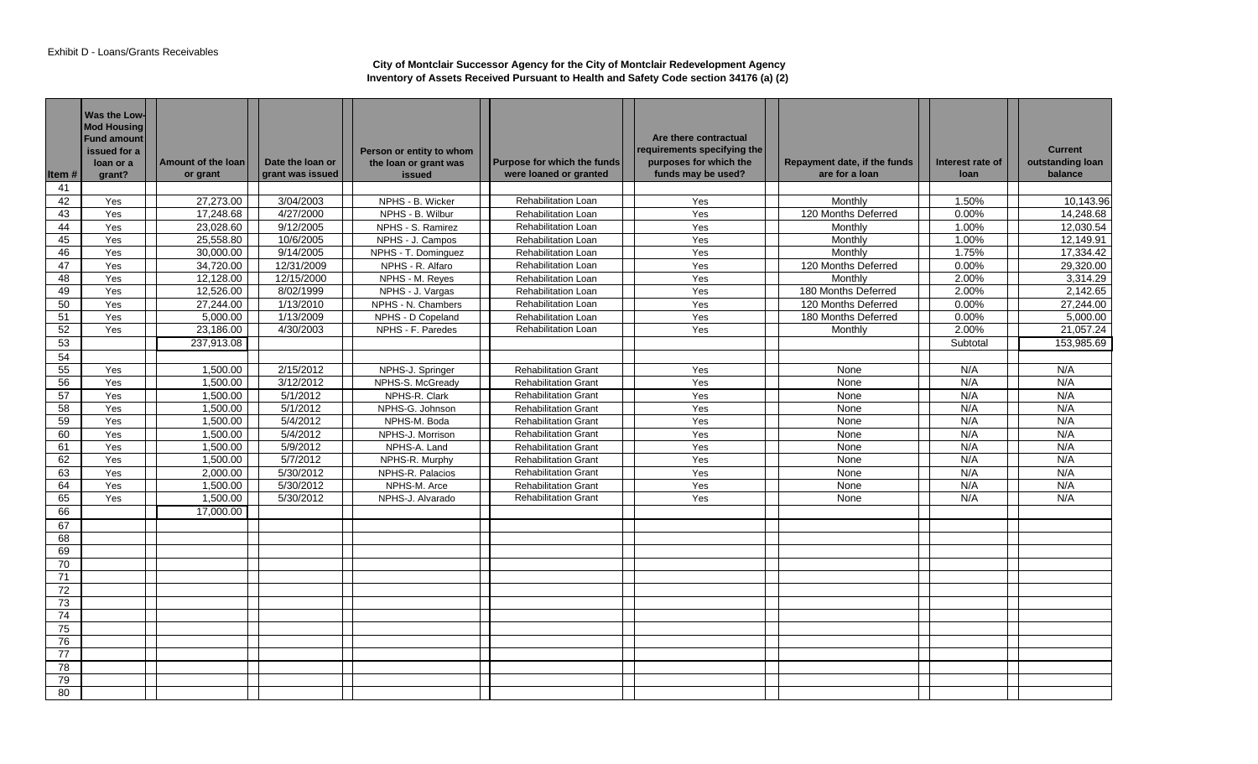| ltem # | Was the Low-<br><b>Mod Housing</b><br><b>Fund amount</b><br>issued for a<br>loan or a<br>grant? | Amount of the loan<br>or grant | Date the loan or<br>grant was issued | Person or entity to whom<br>the loan or grant was<br>issued | <b>Purpose for which the funds</b><br>were loaned or granted | Are there contractual<br>requirements specifying the<br>purposes for which the<br>funds may be used? | Repayment date, if the funds<br>are for a loan | Interest rate of<br>loan | <b>Current</b><br>outstanding loan<br>balance |
|--------|-------------------------------------------------------------------------------------------------|--------------------------------|--------------------------------------|-------------------------------------------------------------|--------------------------------------------------------------|------------------------------------------------------------------------------------------------------|------------------------------------------------|--------------------------|-----------------------------------------------|
| 41     |                                                                                                 |                                |                                      |                                                             |                                                              |                                                                                                      |                                                |                          |                                               |
| 42     | Yes                                                                                             | 27,273.00                      | 3/04/2003                            | NPHS - B. Wicker                                            | <b>Rehabilitation Loan</b>                                   | Yes                                                                                                  | Monthly                                        | 1.50%                    | 10,143.96                                     |
| 43     | Yes                                                                                             | 17,248.68                      | 4/27/2000                            | NPHS - B. Wilbur                                            | <b>Rehabilitation Loan</b>                                   | Yes                                                                                                  | 120 Months Deferred                            | 0.00%                    | 14.248.68                                     |
| 44     | Yes                                                                                             | 23,028.60                      | 9/12/2005                            | NPHS - S. Ramirez                                           | Rehabilitation Loan                                          | Yes                                                                                                  | Monthly                                        | 1.00%                    | 12,030.54                                     |
| 45     | Yes                                                                                             | 25,558.80                      | 10/6/2005                            | NPHS - J. Campos                                            | Rehabilitation Loan                                          | Yes                                                                                                  | Monthly                                        | 1.00%                    | 12,149.91                                     |
| 46     | Yes                                                                                             | 30,000.00                      | 9/14/2005                            | NPHS - T. Dominguez                                         | <b>Rehabilitation Loan</b>                                   | Yes                                                                                                  | Monthly                                        | 1.75%                    | 17,334.42                                     |
| 47     | Yes                                                                                             | 34,720.00                      | 12/31/2009                           | NPHS - R. Alfaro                                            | <b>Rehabilitation Loan</b>                                   | Yes                                                                                                  | 120 Months Deferred                            | 0.00%                    | 29,320.00                                     |
| 48     | Yes                                                                                             | 12,128.00                      | 12/15/2000                           | NPHS - M. Reyes                                             | Rehabilitation Loan                                          | Yes                                                                                                  | Monthly                                        | 2.00%                    | 3,314.29                                      |
| 49     | Yes                                                                                             | 12,526.00                      | 8/02/1999                            | NPHS - J. Vargas                                            | Rehabilitation Loan                                          | Yes                                                                                                  | 180 Months Deferred                            | 2.00%                    | 2,142.65                                      |
| 50     | Yes                                                                                             | 27,244.00                      | 1/13/2010                            | NPHS - N. Chambers                                          | <b>Rehabilitation Loan</b>                                   | Yes                                                                                                  | 120 Months Deferred                            | 0.00%                    | 27,244.00                                     |
| 51     | Yes                                                                                             | 5,000.00                       | 1/13/2009                            | NPHS - D Copeland                                           | <b>Rehabilitation Loan</b>                                   | Yes                                                                                                  | 180 Months Deferred                            | 0.00%                    | 5.000.00                                      |
| 52     | Yes                                                                                             | 23,186.00                      | 4/30/2003                            | NPHS - F. Paredes                                           | <b>Rehabilitation Loan</b>                                   | Yes                                                                                                  | Monthly                                        | 2.00%                    | 21,057.24                                     |
| 53     |                                                                                                 | 237,913.08                     |                                      |                                                             |                                                              |                                                                                                      |                                                | Subtotal                 | 153,985.69                                    |
| 54     |                                                                                                 |                                |                                      |                                                             |                                                              |                                                                                                      |                                                |                          |                                               |
| 55     | Yes                                                                                             | 1,500.00                       | 2/15/2012                            | NPHS-J. Springer                                            | <b>Rehabilitation Grant</b>                                  | Yes                                                                                                  | None                                           | N/A                      | N/A                                           |
| 56     | Yes                                                                                             | 1,500.00                       | 3/12/2012                            | NPHS-S. McGready                                            | <b>Rehabilitation Grant</b>                                  | Yes                                                                                                  | None                                           | N/A                      | N/A                                           |
| 57     | Yes                                                                                             | 1,500.00                       | 5/1/2012                             | NPHS-R. Clark                                               | <b>Rehabilitation Grant</b>                                  | Yes                                                                                                  | None                                           | N/A                      | N/A                                           |
| 58     | Yes                                                                                             | 1,500.00                       | 5/1/2012                             | NPHS-G. Johnson                                             | <b>Rehabilitation Grant</b>                                  | Yes                                                                                                  | None                                           | N/A                      | N/A                                           |
| 59     | Yes                                                                                             | 1,500.00                       | 5/4/2012                             | NPHS-M. Boda                                                | <b>Rehabilitation Grant</b>                                  | Yes                                                                                                  | None                                           | N/A                      | N/A                                           |
| 60     | Yes                                                                                             | 1,500.00                       | 5/4/2012                             | NPHS-J. Morrison                                            | <b>Rehabilitation Grant</b>                                  | Yes                                                                                                  | None                                           | N/A                      | N/A                                           |
| 61     | Yes                                                                                             | 1,500.00                       | 5/9/2012                             | NPHS-A. Land                                                | <b>Rehabilitation Grant</b>                                  | Yes                                                                                                  | None                                           | N/A                      | N/A                                           |
| 62     | Yes                                                                                             | 1,500.00                       | 5/7/2012                             | NPHS-R. Murphy                                              | <b>Rehabilitation Grant</b>                                  | Yes                                                                                                  | None                                           | N/A                      | N/A                                           |
| 63     | Yes                                                                                             | 2,000.00                       | 5/30/2012                            | NPHS-R. Palacios                                            | <b>Rehabilitation Grant</b>                                  | Yes                                                                                                  | None                                           | N/A                      | N/A                                           |
| 64     | Yes                                                                                             | 1,500.00                       | 5/30/2012                            | NPHS-M. Arce                                                | <b>Rehabilitation Grant</b>                                  | Yes                                                                                                  | None                                           | N/A                      | N/A                                           |
| 65     | Yes                                                                                             | 1,500.00                       | 5/30/2012                            | NPHS-J. Alvarado                                            | <b>Rehabilitation Grant</b>                                  | Yes                                                                                                  | None                                           | N/A                      | N/A                                           |
| 66     |                                                                                                 | 17.000.00                      |                                      |                                                             |                                                              |                                                                                                      |                                                |                          |                                               |
| 67     |                                                                                                 |                                |                                      |                                                             |                                                              |                                                                                                      |                                                |                          |                                               |
| 68     |                                                                                                 |                                |                                      |                                                             |                                                              |                                                                                                      |                                                |                          |                                               |
| 69     |                                                                                                 |                                |                                      |                                                             |                                                              |                                                                                                      |                                                |                          |                                               |
| 70     |                                                                                                 |                                |                                      |                                                             |                                                              |                                                                                                      |                                                |                          |                                               |
| 71     |                                                                                                 |                                |                                      |                                                             |                                                              |                                                                                                      |                                                |                          |                                               |
| 72     |                                                                                                 |                                |                                      |                                                             |                                                              |                                                                                                      |                                                |                          |                                               |
| 73     |                                                                                                 |                                |                                      |                                                             |                                                              |                                                                                                      |                                                |                          |                                               |
| 74     |                                                                                                 |                                |                                      |                                                             |                                                              |                                                                                                      |                                                |                          |                                               |
| 75     |                                                                                                 |                                |                                      |                                                             |                                                              |                                                                                                      |                                                |                          |                                               |
| 76     |                                                                                                 |                                |                                      |                                                             |                                                              |                                                                                                      |                                                |                          |                                               |
| 77     |                                                                                                 |                                |                                      |                                                             |                                                              |                                                                                                      |                                                |                          |                                               |
| 78     |                                                                                                 |                                |                                      |                                                             |                                                              |                                                                                                      |                                                |                          |                                               |
| 79     |                                                                                                 |                                |                                      |                                                             |                                                              |                                                                                                      |                                                |                          |                                               |
| 80     |                                                                                                 |                                |                                      |                                                             |                                                              |                                                                                                      |                                                |                          |                                               |